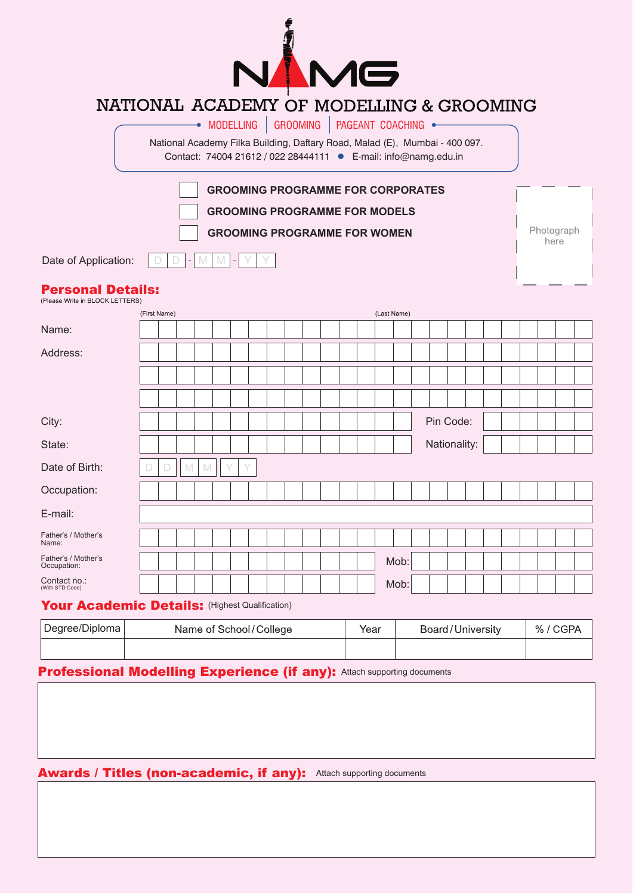

## NATIONAL ACADEMY OF MODELLING & GROOMING

|                                                             |              |   |   | $\rightarrow$ Modelling $\mid$<br>National Academy Filka Building, Daftary Road, Malad (E), Mumbai - 400 097.<br>Contact: 74004 21612 / 022 28444111 · E-mail: info@namg.edu.in |                |  | <b>GROOMING</b> | PAGEANT COACHING · |             |      |  |              |  |  |                    |  |
|-------------------------------------------------------------|--------------|---|---|---------------------------------------------------------------------------------------------------------------------------------------------------------------------------------|----------------|--|-----------------|--------------------|-------------|------|--|--------------|--|--|--------------------|--|
| Date of Application:                                        |              | ۳ | M | <b>GROOMING PROGRAMME FOR CORPORATES</b><br><b>GROOMING PROGRAMME FOR MODELS</b><br><b>GROOMING PROGRAMME FOR WOMEN</b><br>M                                                    | $\blacksquare$ |  |                 |                    |             |      |  |              |  |  | Photograph<br>here |  |
| <b>Personal Details:</b><br>(Please Write in BLOCK LETTERS) | (First Name) |   |   |                                                                                                                                                                                 |                |  |                 |                    | (Last Name) |      |  |              |  |  |                    |  |
| Name:                                                       |              |   |   |                                                                                                                                                                                 |                |  |                 |                    |             |      |  |              |  |  |                    |  |
| Address:                                                    |              |   |   |                                                                                                                                                                                 |                |  |                 |                    |             |      |  |              |  |  |                    |  |
|                                                             |              |   |   |                                                                                                                                                                                 |                |  |                 |                    |             |      |  |              |  |  |                    |  |
| City:                                                       |              |   |   |                                                                                                                                                                                 |                |  |                 |                    |             |      |  | Pin Code:    |  |  |                    |  |
| State:                                                      |              |   |   |                                                                                                                                                                                 |                |  |                 |                    |             |      |  | Nationality: |  |  |                    |  |
| Date of Birth:                                              |              | M | M |                                                                                                                                                                                 |                |  |                 |                    |             |      |  |              |  |  |                    |  |
| Occupation:                                                 |              |   |   |                                                                                                                                                                                 |                |  |                 |                    |             |      |  |              |  |  |                    |  |
| E-mail:                                                     |              |   |   |                                                                                                                                                                                 |                |  |                 |                    |             |      |  |              |  |  |                    |  |
| Father's / Mother's<br>Name:                                |              |   |   |                                                                                                                                                                                 |                |  |                 |                    |             |      |  |              |  |  |                    |  |
| Father's / Mother's<br>Occupation:                          |              |   |   |                                                                                                                                                                                 |                |  |                 |                    |             | Mob: |  |              |  |  |                    |  |
| Contact no.:<br>(With STD Code)                             |              |   |   |                                                                                                                                                                                 |                |  |                 |                    |             | Mob: |  |              |  |  |                    |  |

## Your Academic Details: (Highest Qualification)

| Degree/Diploma | Name of School/College | Year | Board/University | % |  |
|----------------|------------------------|------|------------------|---|--|
|                |                        |      |                  |   |  |

## **Professional Modelling Experience (if any): Attach supporting documents**

Awards / Titles (non-academic, if any): Attach supporting documents